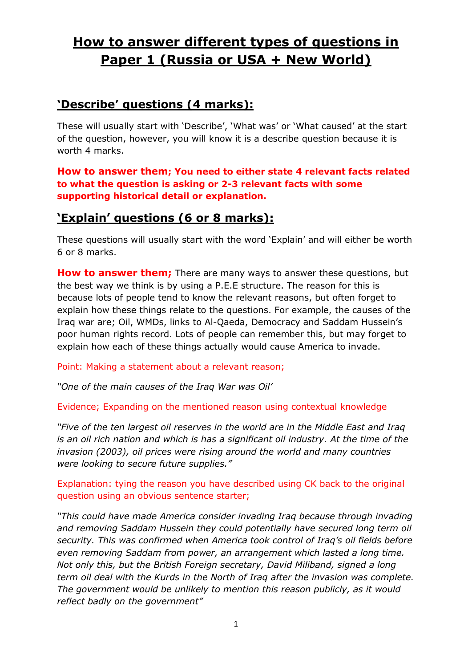# **How to answer different types of questions in Paper 1 (Russia or USA + New World)**

#### **'Describe' questions (4 marks):**

These will usually start with 'Describe', 'What was' or 'What caused' at the start of the question, however, you will know it is a describe question because it is worth 4 marks.

**How to answer them; You need to either state 4 relevant facts related to what the question is asking or 2-3 relevant facts with some supporting historical detail or explanation.**

### **'Explain' questions (6 or 8 marks):**

These questions will usually start with the word "Explain" and will either be worth 6 or 8 marks.

**How to answer them;** There are many ways to answer these questions, but the best way we think is by using a P.E.E structure. The reason for this is because lots of people tend to know the relevant reasons, but often forget to explain how these things relate to the questions. For example, the causes of the Iraq war are; Oil, WMDs, links to Al-Qaeda, Democracy and Saddam Hussein"s poor human rights record. Lots of people can remember this, but may forget to explain how each of these things actually would cause America to invade.

Point: Making a statement about a relevant reason;

*"One of the main causes of the Iraq War was Oil'*

Evidence; Expanding on the mentioned reason using contextual knowledge

*"Five of the ten largest oil reserves in the world are in the Middle East and Iraq is an oil rich nation and which is has a significant oil industry. At the time of the invasion (2003), oil prices were rising around the world and many countries were looking to secure future supplies."*

Explanation: tying the reason you have described using CK back to the original question using an obvious sentence starter;

*"This could have made America consider invading Iraq because through invading and removing Saddam Hussein they could potentially have secured long term oil security. This was confirmed when America took control of Iraq's oil fields before even removing Saddam from power, an arrangement which lasted a long time. Not only this, but the British Foreign secretary, David Miliband, signed a long term oil deal with the Kurds in the North of Iraq after the invasion was complete. The government would be unlikely to mention this reason publicly, as it would reflect badly on the government"*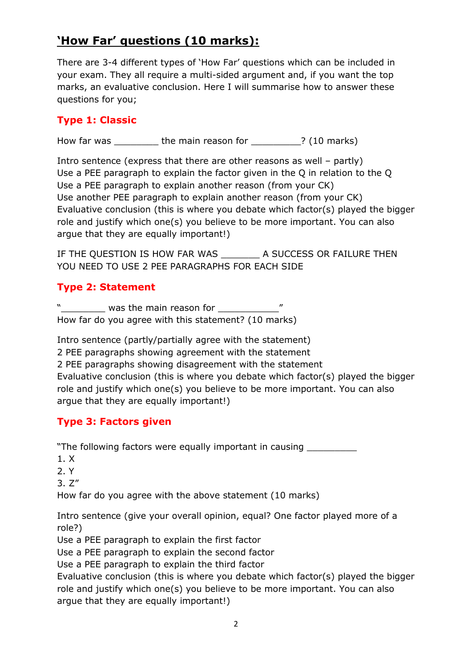## **'How Far' questions (10 marks):**

There are 3-4 different types of "How Far" questions which can be included in your exam. They all require a multi-sided argument and, if you want the top marks, an evaluative conclusion. Here I will summarise how to answer these questions for you;

#### **Type 1: Classic**

How far was \_\_\_\_\_\_\_\_ the main reason for \_\_\_\_\_\_\_\_\_? (10 marks)

Intro sentence (express that there are other reasons as well – partly) Use a PEE paragraph to explain the factor given in the Q in relation to the Q Use a PEE paragraph to explain another reason (from your CK) Use another PEE paragraph to explain another reason (from your CK) Evaluative conclusion (this is where you debate which factor(s) played the bigger role and justify which one(s) you believe to be more important. You can also argue that they are equally important!)

IF THE QUESTION IS HOW FAR WAS \_\_\_\_\_\_\_\_\_ A SUCCESS OR FAILURE THEN YOU NEED TO USE 2 PEE PARAGRAPHS FOR EACH SIDE

#### **Type 2: Statement**

"\_\_\_\_\_\_\_\_ was the main reason for \_\_\_\_\_\_\_\_\_\_\_" How far do you agree with this statement? (10 marks)

Intro sentence (partly/partially agree with the statement) 2 PEE paragraphs showing agreement with the statement 2 PEE paragraphs showing disagreement with the statement Evaluative conclusion (this is where you debate which factor(s) played the bigger role and justify which one(s) you believe to be more important. You can also argue that they are equally important!)

#### **Type 3: Factors given**

"The following factors were equally important in causing

- 1. X
- 2. Y
- 3. Z"

How far do you agree with the above statement (10 marks)

Intro sentence (give your overall opinion, equal? One factor played more of a role?)

Use a PEE paragraph to explain the first factor

Use a PEE paragraph to explain the second factor

Use a PEE paragraph to explain the third factor

Evaluative conclusion (this is where you debate which factor(s) played the bigger role and justify which one(s) you believe to be more important. You can also argue that they are equally important!)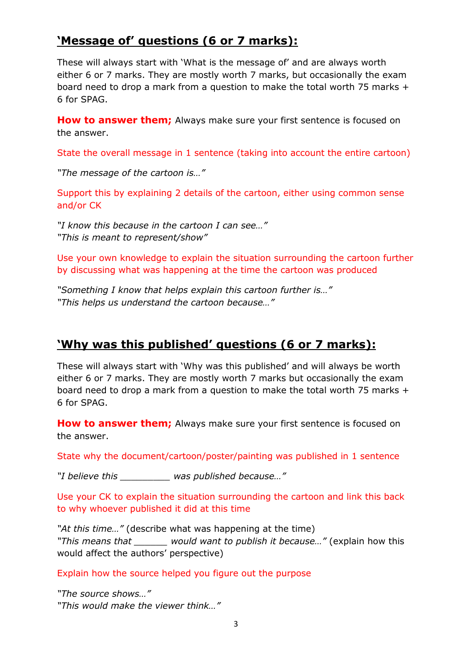## **'Message of' questions (6 or 7 marks):**

These will always start with "What is the message of" and are always worth either 6 or 7 marks. They are mostly worth 7 marks, but occasionally the exam board need to drop a mark from a question to make the total worth 75 marks + 6 for SPAG.

**How to answer them;** Always make sure your first sentence is focused on the answer.

State the overall message in 1 sentence (taking into account the entire cartoon)

*"The message of the cartoon is…"*

Support this by explaining 2 details of the cartoon, either using common sense and/or CK

*"I know this because in the cartoon I can see…" "This is meant to represent/show"*

Use your own knowledge to explain the situation surrounding the cartoon further by discussing what was happening at the time the cartoon was produced

*"Something I know that helps explain this cartoon further is…" "This helps us understand the cartoon because…"*

## **'Why was this published' questions (6 or 7 marks):**

These will always start with "Why was this published" and will always be worth either 6 or 7 marks. They are mostly worth 7 marks but occasionally the exam board need to drop a mark from a question to make the total worth 75 marks + 6 for SPAG.

**How to answer them;** Always make sure your first sentence is focused on the answer.

State why the document/cartoon/poster/painting was published in 1 sentence

*"I believe this \_\_\_\_\_\_\_\_\_ was published because…"*

Use your CK to explain the situation surrounding the cartoon and link this back to why whoever published it did at this time

*"At this time…"* (describe what was happening at the time) *"This means that \_\_\_\_\_\_ would want to publish it because…"* (explain how this would affect the authors' perspective)

Explain how the source helped you figure out the purpose

*"The source shows…" "This would make the viewer think…"*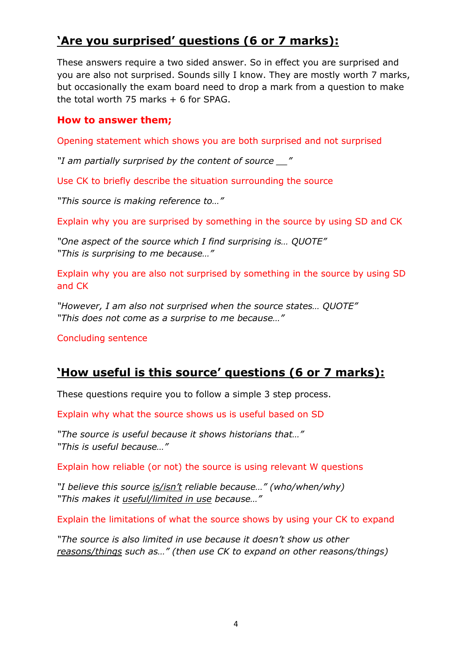## **'Are you surprised' questions (6 or 7 marks):**

These answers require a two sided answer. So in effect you are surprised and you are also not surprised. Sounds silly I know. They are mostly worth 7 marks, but occasionally the exam board need to drop a mark from a question to make the total worth 75 marks  $+6$  for SPAG.

#### **How to answer them;**

Opening statement which shows you are both surprised and not surprised

*"I am partially surprised by the content of source \_\_"*

Use CK to briefly describe the situation surrounding the source

*"This source is making reference to…"*

Explain why you are surprised by something in the source by using SD and CK

*"One aspect of the source which I find surprising is… QUOTE" "This is surprising to me because…"*

Explain why you are also not surprised by something in the source by using SD and CK

*"However, I am also not surprised when the source states… QUOTE" "This does not come as a surprise to me because…"*

Concluding sentence

## **'How useful is this source' questions (6 or 7 marks):**

These questions require you to follow a simple 3 step process.

Explain why what the source shows us is useful based on SD

*"The source is useful because it shows historians that…" "This is useful because…"*

Explain how reliable (or not) the source is using relevant W questions

*"I believe this source is/isn't reliable because…" (who/when/why) "This makes it useful/limited in use because…"*

Explain the limitations of what the source shows by using your CK to expand

*"The source is also limited in use because it doesn't show us other reasons/things such as…" (then use CK to expand on other reasons/things)*